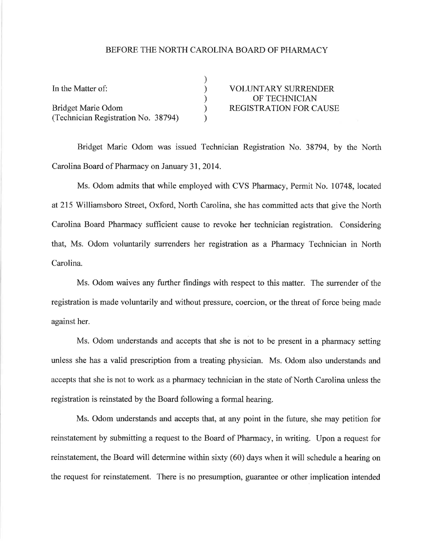## BEFORE THE NORTH CAROLINA BOARD OF PHARMACY

| In the Matter of:                   | <b>VOLUNTARY SURRENDER</b>    |
|-------------------------------------|-------------------------------|
|                                     | OF TECHNICIAN                 |
| Bridget Marie Odom                  | <b>REGISTRATION FOR CAUSE</b> |
| (Technician Registration No. 38794) |                               |

Bridget Marie Odom was issued Technician Registration No. 38794, by the North Carolina Board of Pharmacy on January 31,2014.

Ms. Odom admits that while employed with CVS Pharmacy, Permit No. 10748, located at2l5 Williamsboro Street, Oxford, North Carolina, she has committed acts that give the North Carolina Board Pharmacy sufficient cause to revoke her technician registration. Considering that, Ms. Odom voluntarily surrenders her registration as a Pharmacy Technician in North Carolina.

Ms. Odom waives any further findings with respect to this matter. The surrender of the registration is made voluntarily and without pressure, coercion, or the threat of force being made against her.

Ms. Odom understands and accepts that she is not to be present in a pharmacy setting unless she has a valid prescription from a treating physician. Ms. Odom also understands and accepts that she is not to work as a pharmacy technician in the state of North Carolina unless the registration is reinstated by the Board following a formal hearing.

Ms. Odom understands and accepts that, at any point in the future, she may petition for reinstatement by submitting a request to the Board of Pharmacy, in writing. Upon a request for reinstatement, the Board will determine within sixty (60) days when it will schedule a hearing on the request for reinstatement. There is no presumption, guarantee or other implication intended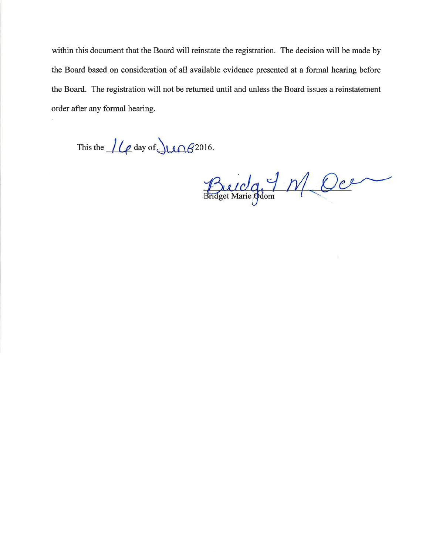within this document that the Board will reinstate the registration. The decision will be made by the Board based on consideration of all available evidence presented at a formal hearing before the Board. The registration will not be returned until and unless the Board issues a reinstatement order after any formal hearing.

This the  $\mu_{\ell}$  day of  $\mu_{\ell}$  2016.

Buida 7 M Oce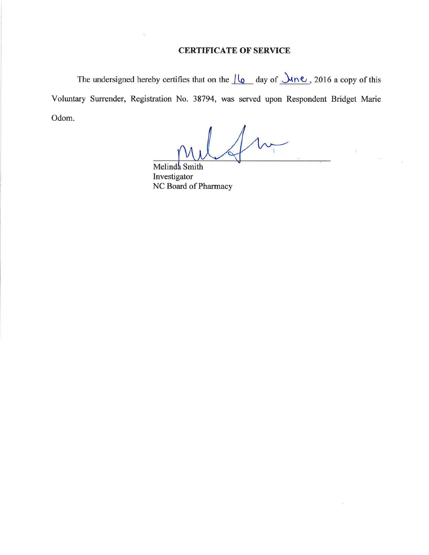## CERTIFICATE OF SERVICE

The undersigned hereby certifies that on the  $\sqrt{\log \, \,}$  day of  $\sqrt{\ln \, \,}$ , 2016 a copy of this Voluntary Surrender, Registration No. 38794, was served upon Respondent Bridget Marie Odom.

Ð

Melinda Smith Investigator NC Board of Pharmacy